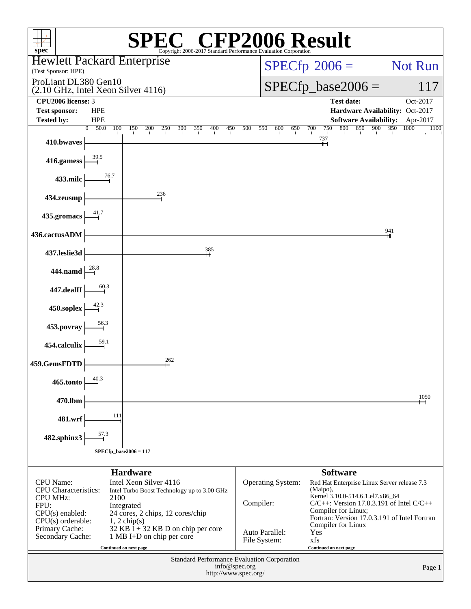| $spec^*$                                                                                                                                 |                               |                              |                                                                                                                                                   |     | <b>CFP2006 Result</b><br>Copyright 2006-2017 Standard Performance Evaluation Corporation |     |                      |                                |                              |     |                        |     |                                           |            |                                                                                                                                                                                  |      |          |
|------------------------------------------------------------------------------------------------------------------------------------------|-------------------------------|------------------------------|---------------------------------------------------------------------------------------------------------------------------------------------------|-----|------------------------------------------------------------------------------------------|-----|----------------------|--------------------------------|------------------------------|-----|------------------------|-----|-------------------------------------------|------------|----------------------------------------------------------------------------------------------------------------------------------------------------------------------------------|------|----------|
| <b>Hewlett Packard Enterprise</b><br>(Test Sponsor: HPE)                                                                                 |                               |                              |                                                                                                                                                   |     |                                                                                          |     |                      |                                | $SPECfp^{\circledast}2006 =$ |     |                        |     |                                           |            |                                                                                                                                                                                  |      | Not Run  |
| ProLiant DL380 Gen10<br>$(2.10 \text{ GHz}, \text{Intel Xeon Silver } 4116)$                                                             |                               |                              |                                                                                                                                                   |     |                                                                                          |     |                      |                                | $SPECfp\_base2006 =$         |     |                        |     |                                           |            |                                                                                                                                                                                  |      | 117      |
| CPU <sub>2006</sub> license: 3                                                                                                           |                               |                              |                                                                                                                                                   |     |                                                                                          |     |                      |                                |                              |     |                        |     | <b>Test date:</b>                         |            |                                                                                                                                                                                  |      | Oct-2017 |
| <b>Test sponsor:</b><br><b>Tested by:</b>                                                                                                | <b>HPE</b><br><b>HPE</b>      |                              |                                                                                                                                                   |     |                                                                                          |     |                      |                                |                              |     |                        |     |                                           |            | Hardware Availability: Oct-2017<br><b>Software Availability:</b>                                                                                                                 |      | Apr-2017 |
| 410.bwaves                                                                                                                               | 50.0<br>$\overline{0}$<br>100 | 150                          | 200<br>250                                                                                                                                        | 300 | 350<br>400                                                                               | 450 | 500                  | 550                            | 600                          | 650 | 700<br>737             | 750 | 800                                       | 850<br>900 | 950                                                                                                                                                                              | 1000 | 1100     |
| 416.gamess                                                                                                                               |                               |                              |                                                                                                                                                   |     |                                                                                          |     |                      |                                |                              |     |                        |     |                                           |            |                                                                                                                                                                                  |      |          |
| 433.milc                                                                                                                                 | 76.7                          |                              |                                                                                                                                                   |     |                                                                                          |     |                      |                                |                              |     |                        |     |                                           |            |                                                                                                                                                                                  |      |          |
| 434.zeusmp                                                                                                                               |                               |                              | 236                                                                                                                                               |     |                                                                                          |     |                      |                                |                              |     |                        |     |                                           |            |                                                                                                                                                                                  |      |          |
| 435.gromacs                                                                                                                              |                               |                              |                                                                                                                                                   |     |                                                                                          |     |                      |                                |                              |     |                        |     |                                           |            |                                                                                                                                                                                  |      |          |
| 436.cactusADM                                                                                                                            |                               |                              |                                                                                                                                                   |     |                                                                                          |     |                      |                                |                              |     |                        |     |                                           |            | 941                                                                                                                                                                              |      |          |
| 437.leslie3d                                                                                                                             |                               |                              |                                                                                                                                                   |     | 385                                                                                      |     |                      |                                |                              |     |                        |     |                                           |            |                                                                                                                                                                                  |      |          |
| 444.namd                                                                                                                                 |                               |                              |                                                                                                                                                   |     |                                                                                          |     |                      |                                |                              |     |                        |     |                                           |            |                                                                                                                                                                                  |      |          |
| $447.\mathrm{dealII}$                                                                                                                    |                               |                              |                                                                                                                                                   |     |                                                                                          |     |                      |                                |                              |     |                        |     |                                           |            |                                                                                                                                                                                  |      |          |
| 450.soplex                                                                                                                               |                               |                              |                                                                                                                                                   |     |                                                                                          |     |                      |                                |                              |     |                        |     |                                           |            |                                                                                                                                                                                  |      |          |
| 453.povray                                                                                                                               | 56.3                          |                              |                                                                                                                                                   |     |                                                                                          |     |                      |                                |                              |     |                        |     |                                           |            |                                                                                                                                                                                  |      |          |
| 454.calculix                                                                                                                             | 59.1                          |                              |                                                                                                                                                   |     |                                                                                          |     |                      |                                |                              |     |                        |     |                                           |            |                                                                                                                                                                                  |      |          |
| 459.GemsFDTD                                                                                                                             |                               |                              | 262                                                                                                                                               |     |                                                                                          |     |                      |                                |                              |     |                        |     |                                           |            |                                                                                                                                                                                  |      |          |
| 465.tonto                                                                                                                                | 40.3                          |                              |                                                                                                                                                   |     |                                                                                          |     |                      |                                |                              |     |                        |     |                                           |            |                                                                                                                                                                                  |      |          |
| 470.lbm                                                                                                                                  |                               |                              |                                                                                                                                                   |     |                                                                                          |     |                      |                                |                              |     |                        |     |                                           |            |                                                                                                                                                                                  |      | 1050     |
| 481.wrf                                                                                                                                  | 111                           |                              |                                                                                                                                                   |     |                                                                                          |     |                      |                                |                              |     |                        |     |                                           |            |                                                                                                                                                                                  |      |          |
| 482.sphinx3                                                                                                                              | 57.3                          |                              |                                                                                                                                                   |     |                                                                                          |     |                      |                                |                              |     |                        |     |                                           |            |                                                                                                                                                                                  |      |          |
| $SPECfp\_base2006 = 117$                                                                                                                 |                               |                              |                                                                                                                                                   |     |                                                                                          |     |                      |                                |                              |     |                        |     |                                           |            |                                                                                                                                                                                  |      |          |
|                                                                                                                                          |                               | <b>Hardware</b>              |                                                                                                                                                   |     |                                                                                          |     |                      |                                |                              |     |                        |     | <b>Software</b>                           |            |                                                                                                                                                                                  |      |          |
| <b>CPU</b> Name:<br><b>CPU</b> Characteristics:<br><b>CPU MHz:</b><br>FPU:<br>$CPU(s)$ enabled:<br>$CPU(s)$ orderable:<br>Primary Cache: | 2100                          | Integrated<br>$1, 2$ chip(s) | Intel Xeon Silver 4116<br>Intel Turbo Boost Technology up to 3.00 GHz<br>24 cores, 2 chips, 12 cores/chip<br>$32$ KB I + 32 KB D on chip per core |     |                                                                                          |     |                      | Compiler:                      | Operating System:            |     | (Maipo),               |     | Compiler for Linux;<br>Compiler for Linux |            | Red Hat Enterprise Linux Server release 7.3<br>Kernel 3.10.0-514.6.1.el7.x86_64<br>$C/C++$ : Version 17.0.3.191 of Intel $C/C++$<br>Fortran: Version 17.0.3.191 of Intel Fortran |      |          |
| Secondary Cache:                                                                                                                         |                               |                              | 1 MB I+D on chip per core                                                                                                                         |     |                                                                                          |     |                      | Auto Parallel:<br>File System: |                              |     | Yes<br>xfs             |     |                                           |            |                                                                                                                                                                                  |      |          |
|                                                                                                                                          |                               | Continued on next page       |                                                                                                                                                   |     | <b>Standard Performance Evaluation Corporation</b>                                       |     | info@spec.org        |                                |                              |     | Continued on next page |     |                                           |            |                                                                                                                                                                                  |      | Page 1   |
|                                                                                                                                          |                               |                              |                                                                                                                                                   |     |                                                                                          |     | http://www.spec.org/ |                                |                              |     |                        |     |                                           |            |                                                                                                                                                                                  |      |          |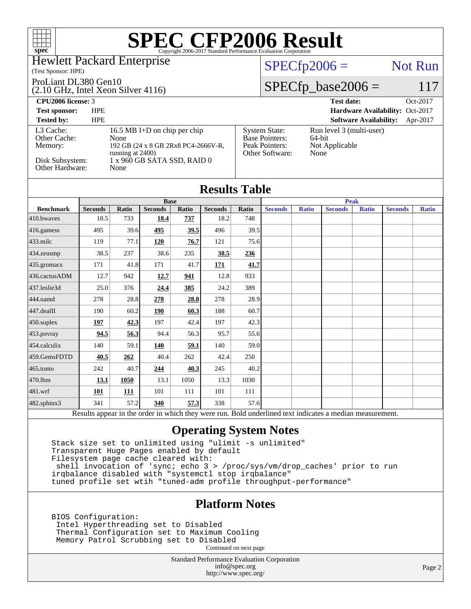### Hewlett Packard Enterprise

(Test Sponsor: HPE)

### ProLiant DL380 Gen10

(2.10 GHz, Intel Xeon Silver 4116)

### $SPECTp2006 =$  Not Run

[System State:](http://www.spec.org/auto/cpu2006/Docs/result-fields.html#SystemState) Run level 3 (multi-user)<br>Base Pointers: 64-bit

[Peak Pointers:](http://www.spec.org/auto/cpu2006/Docs/result-fields.html#PeakPointers) Not Applicable

[Other Software:](http://www.spec.org/auto/cpu2006/Docs/result-fields.html#OtherSoftware) None

[Base Pointers:](http://www.spec.org/auto/cpu2006/Docs/result-fields.html#BasePointers)

### $SPECfp\_base2006 = 117$

**[CPU2006 license:](http://www.spec.org/auto/cpu2006/Docs/result-fields.html#CPU2006license)** 3 **[Test date:](http://www.spec.org/auto/cpu2006/Docs/result-fields.html#Testdate)** Oct-2017

**[Test sponsor:](http://www.spec.org/auto/cpu2006/Docs/result-fields.html#Testsponsor)** HPE **[Hardware Availability:](http://www.spec.org/auto/cpu2006/Docs/result-fields.html#HardwareAvailability)** Oct-2017

### **[Tested by:](http://www.spec.org/auto/cpu2006/Docs/result-fields.html#Testedby)** HPE **[Software Availability:](http://www.spec.org/auto/cpu2006/Docs/result-fields.html#SoftwareAvailability)** Apr-2017 [L3 Cache:](http://www.spec.org/auto/cpu2006/Docs/result-fields.html#L3Cache) 16.5 MB I+D on chip per chip<br>Other Cache: None [Other Cache:](http://www.spec.org/auto/cpu2006/Docs/result-fields.html#OtherCache) [Memory:](http://www.spec.org/auto/cpu2006/Docs/result-fields.html#Memory) 192 GB (24 x 8 GB 2Rx8 PC4-2666V-R, running at 2400) [Disk Subsystem:](http://www.spec.org/auto/cpu2006/Docs/result-fields.html#DiskSubsystem) 1 x 960 GB SATA SSD, RAID 0<br>Other Hardware: None [Other Hardware:](http://www.spec.org/auto/cpu2006/Docs/result-fields.html#OtherHardware)

| <b>Results Table</b> |                |       |                |       |                |             |                |              |                |              |                |              |
|----------------------|----------------|-------|----------------|-------|----------------|-------------|----------------|--------------|----------------|--------------|----------------|--------------|
|                      |                |       | <b>Base</b>    |       |                | <b>Peak</b> |                |              |                |              |                |              |
| <b>Benchmark</b>     | <b>Seconds</b> | Ratio | <b>Seconds</b> | Ratio | <b>Seconds</b> | Ratio       | <b>Seconds</b> | <b>Ratio</b> | <b>Seconds</b> | <b>Ratio</b> | <b>Seconds</b> | <b>Ratio</b> |
| 410.bwayes           | 18.5           | 733   | 18.4           | 737   | 18.2           | 748         |                |              |                |              |                |              |
| 416.gamess           | 495            | 39.6  | 495            | 39.5  | 496            | 39.5        |                |              |                |              |                |              |
| 433.milc             | 119            | 77.1  | 120            | 76.7  | 121            | 75.6        |                |              |                |              |                |              |
| 434.zeusmp           | 38.5           | 237   | 38.6           | 235   | 38.5           | 236         |                |              |                |              |                |              |
| 435.gromacs          | 171            | 41.8  | 171            | 41.7  | 171            | 41.7        |                |              |                |              |                |              |
| 436.cactusADM        | 12.7           | 942   | 12.7           | 941   | 12.8           | 933         |                |              |                |              |                |              |
| 437.leslie3d         | 25.0           | 376   | 24.4           | 385   | 24.2           | 389         |                |              |                |              |                |              |
| 444.namd             | 278            | 28.8  | 278            | 28.8  | 278            | 28.9        |                |              |                |              |                |              |
| 447.dealII           | 190            | 60.2  | 190            | 60.3  | 188            | 60.7        |                |              |                |              |                |              |
| 450.soplex           | <u>197</u>     | 42.3  | 197            | 42.4  | 197            | 42.3        |                |              |                |              |                |              |
| 453.povray           | 94.5           | 56.3  | 94.4           | 56.3  | 95.7           | 55.6        |                |              |                |              |                |              |
| 454.calculix         | 140            | 59.1  | 140            | 59.1  | 140            | 59.0        |                |              |                |              |                |              |
| 459.GemsFDTD         | 40.5           | 262   | 40.4           | 262   | 42.4           | 250         |                |              |                |              |                |              |
| 465.tonto            | 242            | 40.7  | 244            | 40.3  | 245            | 40.2        |                |              |                |              |                |              |
| 470.1bm              | 13.1           | 1050  | 13.1           | 1050  | 13.3           | 1030        |                |              |                |              |                |              |
| 481.wrf              | 101            | 111   | 101            | 111   | 101            | 111         |                |              |                |              |                |              |
| 482.sphinx3          | 341            | 57.2  | 340            | 57.3  | 338            | 57.6        |                |              |                |              |                |              |

Results appear in the [order in which they were run.](http://www.spec.org/auto/cpu2006/Docs/result-fields.html#RunOrder) Bold underlined text [indicates a median measurement.](http://www.spec.org/auto/cpu2006/Docs/result-fields.html#Median)

### **[Operating System Notes](http://www.spec.org/auto/cpu2006/Docs/result-fields.html#OperatingSystemNotes)**

 Stack size set to unlimited using "ulimit -s unlimited" Transparent Huge Pages enabled by default Filesystem page cache cleared with: shell invocation of 'sync; echo 3 > /proc/sys/vm/drop\_caches' prior to run irqbalance disabled with "systemctl stop irqbalance" tuned profile set wtih "tuned-adm profile throughput-performance"

### **[Platform Notes](http://www.spec.org/auto/cpu2006/Docs/result-fields.html#PlatformNotes)**

 BIOS Configuration: Intel Hyperthreading set to Disabled Thermal Configuration set to Maximum Cooling Memory Patrol Scrubbing set to Disabled Continued on next page

> Standard Performance Evaluation Corporation [info@spec.org](mailto:info@spec.org) <http://www.spec.org/>

Page 2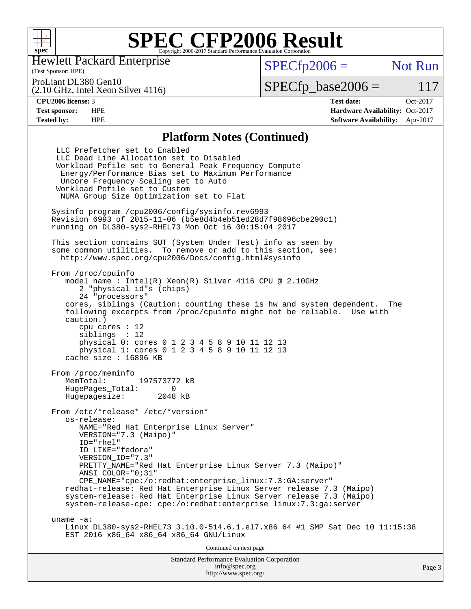

Hewlett Packard Enterprise

(Test Sponsor: HPE)

 $SPECfp2006 =$  Not Run

(2.10 GHz, Intel Xeon Silver 4116) ProLiant DL380 Gen10

 $SPECfp\_base2006 = 117$ 

**[CPU2006 license:](http://www.spec.org/auto/cpu2006/Docs/result-fields.html#CPU2006license)** 3 **[Test date:](http://www.spec.org/auto/cpu2006/Docs/result-fields.html#Testdate)** Oct-2017 **[Test sponsor:](http://www.spec.org/auto/cpu2006/Docs/result-fields.html#Testsponsor)** HPE **[Hardware Availability:](http://www.spec.org/auto/cpu2006/Docs/result-fields.html#HardwareAvailability)** Oct-2017 **[Tested by:](http://www.spec.org/auto/cpu2006/Docs/result-fields.html#Testedby)** HPE **[Software Availability:](http://www.spec.org/auto/cpu2006/Docs/result-fields.html#SoftwareAvailability)** Apr-2017

### **[Platform Notes \(Continued\)](http://www.spec.org/auto/cpu2006/Docs/result-fields.html#PlatformNotes)**

Standard Performance Evaluation Corporation [info@spec.org](mailto:info@spec.org) LLC Prefetcher set to Enabled LLC Dead Line Allocation set to Disabled Workload Pofile set to General Peak Frequency Compute Energy/Performance Bias set to Maximum Performance Uncore Frequency Scaling set to Auto Workload Pofile set to Custom NUMA Group Size Optimization set to Flat Sysinfo program /cpu2006/config/sysinfo.rev6993 Revision 6993 of 2015-11-06 (b5e8d4b4eb51ed28d7f98696cbe290c1) running on DL380-sys2-RHEL73 Mon Oct 16 00:15:04 2017 This section contains SUT (System Under Test) info as seen by some common utilities. To remove or add to this section, see: <http://www.spec.org/cpu2006/Docs/config.html#sysinfo> From /proc/cpuinfo model name : Intel(R) Xeon(R) Silver 4116 CPU @ 2.10GHz 2 "physical id"s (chips) 24 "processors" cores, siblings (Caution: counting these is hw and system dependent. The following excerpts from /proc/cpuinfo might not be reliable. Use with caution.) cpu cores : 12 siblings : 12 physical 0: cores 0 1 2 3 4 5 8 9 10 11 12 13 physical 1: cores 0 1 2 3 4 5 8 9 10 11 12 13 cache size : 16896 KB From /proc/meminfo MemTotal: 197573772 kB HugePages\_Total: 0<br>Hugepagesize: 2048 kB Hugepagesize: From /etc/\*release\* /etc/\*version\* os-release: NAME="Red Hat Enterprise Linux Server" VERSION="7.3 (Maipo)" ID="rhel" ID\_LIKE="fedora" VERSION\_ID="7.3" PRETTY\_NAME="Red Hat Enterprise Linux Server 7.3 (Maipo)" ANSI\_COLOR="0;31" CPE\_NAME="cpe:/o:redhat:enterprise\_linux:7.3:GA:server" redhat-release: Red Hat Enterprise Linux Server release 7.3 (Maipo) system-release: Red Hat Enterprise Linux Server release 7.3 (Maipo) system-release-cpe: cpe:/o:redhat:enterprise\_linux:7.3:ga:server uname -a: Linux DL380-sys2-RHEL73 3.10.0-514.6.1.el7.x86\_64 #1 SMP Sat Dec 10 11:15:38 EST 2016 x86\_64 x86\_64 x86\_64 GNU/Linux Continued on next page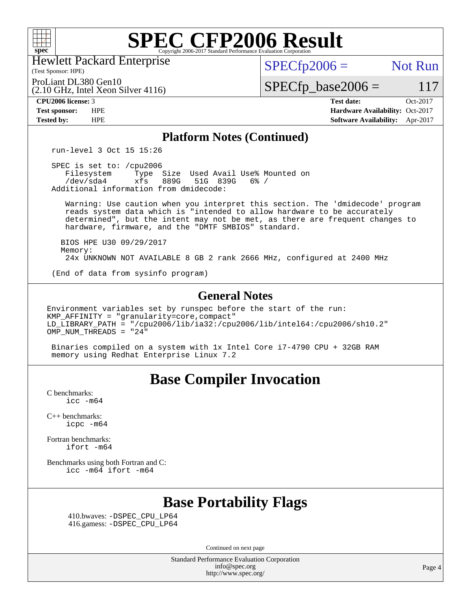

Hewlett Packard Enterprise

(Test Sponsor: HPE)

 $SPECTp2006 =$  Not Run

 $SPECfp\_base2006 = 117$ 

(2.10 GHz, Intel Xeon Silver 4116) ProLiant DL380 Gen10

**[CPU2006 license:](http://www.spec.org/auto/cpu2006/Docs/result-fields.html#CPU2006license)** 3 **[Test date:](http://www.spec.org/auto/cpu2006/Docs/result-fields.html#Testdate)** Oct-2017 **[Test sponsor:](http://www.spec.org/auto/cpu2006/Docs/result-fields.html#Testsponsor)** HPE **[Hardware Availability:](http://www.spec.org/auto/cpu2006/Docs/result-fields.html#HardwareAvailability)** Oct-2017 **[Tested by:](http://www.spec.org/auto/cpu2006/Docs/result-fields.html#Testedby)** HPE **[Software Availability:](http://www.spec.org/auto/cpu2006/Docs/result-fields.html#SoftwareAvailability)** Apr-2017

### **[Platform Notes \(Continued\)](http://www.spec.org/auto/cpu2006/Docs/result-fields.html#PlatformNotes)**

run-level 3 Oct 15 15:26

 SPEC is set to: /cpu2006 Filesystem Type Size Used Avail Use% Mounted on<br>
/dev/sda4 xfs 889G 51G 839G 6% / 51G 839G 6% / Additional information from dmidecode:

 Warning: Use caution when you interpret this section. The 'dmidecode' program reads system data which is "intended to allow hardware to be accurately determined", but the intent may not be met, as there are frequent changes to hardware, firmware, and the "DMTF SMBIOS" standard.

 BIOS HPE U30 09/29/2017 Memory: 24x UNKNOWN NOT AVAILABLE 8 GB 2 rank 2666 MHz, configured at 2400 MHz

(End of data from sysinfo program)

### **[General Notes](http://www.spec.org/auto/cpu2006/Docs/result-fields.html#GeneralNotes)**

Environment variables set by runspec before the start of the run: KMP\_AFFINITY = "granularity=core,compact" LD\_LIBRARY\_PATH = "/cpu2006/lib/ia32:/cpu2006/lib/intel64:/cpu2006/sh10.2" OMP\_NUM\_THREADS = "24"

 Binaries compiled on a system with 1x Intel Core i7-4790 CPU + 32GB RAM memory using Redhat Enterprise Linux 7.2

## **[Base Compiler Invocation](http://www.spec.org/auto/cpu2006/Docs/result-fields.html#BaseCompilerInvocation)**

[C benchmarks](http://www.spec.org/auto/cpu2006/Docs/result-fields.html#Cbenchmarks):  $\text{icc}$   $-\text{m64}$ 

[C++ benchmarks:](http://www.spec.org/auto/cpu2006/Docs/result-fields.html#CXXbenchmarks) [icpc -m64](http://www.spec.org/cpu2006/results/res2017q4/cpu2006-20171017-50351.flags.html#user_CXXbase_intel_icpc_64bit_fc66a5337ce925472a5c54ad6a0de310)

[Fortran benchmarks](http://www.spec.org/auto/cpu2006/Docs/result-fields.html#Fortranbenchmarks): [ifort -m64](http://www.spec.org/cpu2006/results/res2017q4/cpu2006-20171017-50351.flags.html#user_FCbase_intel_ifort_64bit_ee9d0fb25645d0210d97eb0527dcc06e)

[Benchmarks using both Fortran and C](http://www.spec.org/auto/cpu2006/Docs/result-fields.html#BenchmarksusingbothFortranandC): [icc -m64](http://www.spec.org/cpu2006/results/res2017q4/cpu2006-20171017-50351.flags.html#user_CC_FCbase_intel_icc_64bit_bda6cc9af1fdbb0edc3795bac97ada53) [ifort -m64](http://www.spec.org/cpu2006/results/res2017q4/cpu2006-20171017-50351.flags.html#user_CC_FCbase_intel_ifort_64bit_ee9d0fb25645d0210d97eb0527dcc06e)

## **[Base Portability Flags](http://www.spec.org/auto/cpu2006/Docs/result-fields.html#BasePortabilityFlags)**

 410.bwaves: [-DSPEC\\_CPU\\_LP64](http://www.spec.org/cpu2006/results/res2017q4/cpu2006-20171017-50351.flags.html#suite_basePORTABILITY410_bwaves_DSPEC_CPU_LP64) 416.gamess: [-DSPEC\\_CPU\\_LP64](http://www.spec.org/cpu2006/results/res2017q4/cpu2006-20171017-50351.flags.html#suite_basePORTABILITY416_gamess_DSPEC_CPU_LP64)

Continued on next page

Standard Performance Evaluation Corporation [info@spec.org](mailto:info@spec.org) <http://www.spec.org/>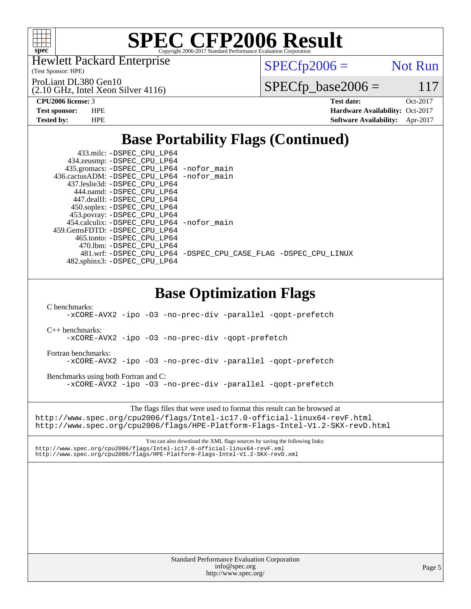

Hewlett Packard Enterprise

(2.10 GHz, Intel Xeon Silver 4116)

(Test Sponsor: HPE)

ProLiant DL380 Gen10

 $SPECfp2006 =$  Not Run

 $SPECTp\_base2006 = 117$ 

**[CPU2006 license:](http://www.spec.org/auto/cpu2006/Docs/result-fields.html#CPU2006license)** 3 **[Test date:](http://www.spec.org/auto/cpu2006/Docs/result-fields.html#Testdate)** Oct-2017 **[Test sponsor:](http://www.spec.org/auto/cpu2006/Docs/result-fields.html#Testsponsor)** HPE **[Hardware Availability:](http://www.spec.org/auto/cpu2006/Docs/result-fields.html#HardwareAvailability)** Oct-2017 **[Tested by:](http://www.spec.org/auto/cpu2006/Docs/result-fields.html#Testedby)** HPE **[Software Availability:](http://www.spec.org/auto/cpu2006/Docs/result-fields.html#SoftwareAvailability)** Apr-2017

## **[Base Portability Flags \(Continued\)](http://www.spec.org/auto/cpu2006/Docs/result-fields.html#BasePortabilityFlags)**

| 433.milc: -DSPEC_CPU_LP64<br>434.zeusmp: -DSPEC CPU LP64<br>435.gromacs: -DSPEC_CPU_LP64 -nofor_main<br>436.cactusADM: -DSPEC_CPU_LP64 -nofor_main<br>437.leslie3d: -DSPEC_CPU_LP64<br>444.namd: -DSPEC CPU LP64<br>447.dealII: -DSPEC_CPU_LP64<br>450.soplex: -DSPEC_CPU_LP64<br>453.povray: -DSPEC CPU LP64 |
|---------------------------------------------------------------------------------------------------------------------------------------------------------------------------------------------------------------------------------------------------------------------------------------------------------------|
| 454.calculix: -DSPEC CPU LP64 -nofor main<br>459.GemsFDTD: -DSPEC_CPU_LP64<br>465.tonto: - DSPEC_CPU_LP64<br>470.1bm: -DSPEC CPU LP64                                                                                                                                                                         |
| 481.wrf:-DSPEC_CPU_LP64 -DSPEC_CPU_CASE_FLAG -DSPEC_CPU_LINUX<br>482.sphinx3: -DSPEC_CPU_LP64                                                                                                                                                                                                                 |
| <b>Base Optimization Flags</b>                                                                                                                                                                                                                                                                                |
| C benchmarks:<br>-xCORE-AVX2 -ipo -03 -no-prec-div -parallel -qopt-prefetch                                                                                                                                                                                                                                   |
| $C_{++}$ benchmarks:<br>-xCORE-AVX2 -ipo -03 -no-prec-div -qopt-prefetch                                                                                                                                                                                                                                      |
| Fortran benchmarks:<br>-xCORE-AVX2 -ipo -03 -no-prec-div -parallel -qopt-prefetch                                                                                                                                                                                                                             |
| Benchmarks using both Fortran and C:<br>-xCORE-AVX2 -ipo -03 -no-prec-div -parallel -qopt-prefetch                                                                                                                                                                                                            |
| The flags files that were used to format this result can be browsed at<br>http://www.spec.org/cpu2006/flags/Intel-ic17.0-official-linux64-revF.html<br>http://www.spec.org/cpu2006/flags/HPE-Platform-Flags-Intel-V1.2-SKX-revD.html                                                                          |
| You can also download the XML flags sources by saving the following links:<br>http://www.spec.org/cpu2006/flags/Intel-ic17.0-official-linux64-revF.xml<br>http://www.spec.org/cpu2006/flags/HPE-Platform-Flags-Intel-V1.2-SKX-revD.xml                                                                        |
|                                                                                                                                                                                                                                                                                                               |
|                                                                                                                                                                                                                                                                                                               |
|                                                                                                                                                                                                                                                                                                               |
|                                                                                                                                                                                                                                                                                                               |
|                                                                                                                                                                                                                                                                                                               |

Standard Performance Evaluation Corporation [info@spec.org](mailto:info@spec.org) <http://www.spec.org/>